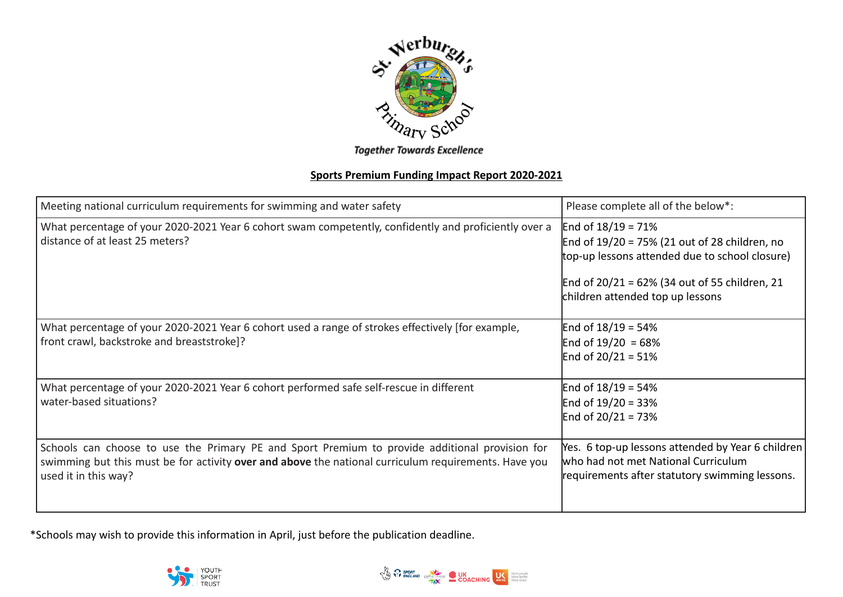

**Together Towards Excellence** 

## **Sports Premium Funding Impact Report 2020-2021**

| Meeting national curriculum requirements for swimming and water safety                                                                                                                                                         | Please complete all of the below*:                                                                                                                                                                            |
|--------------------------------------------------------------------------------------------------------------------------------------------------------------------------------------------------------------------------------|---------------------------------------------------------------------------------------------------------------------------------------------------------------------------------------------------------------|
| What percentage of your 2020-2021 Year 6 cohort swam competently, confidently and proficiently over a<br>distance of at least 25 meters?                                                                                       | End of $18/19 = 71\%$<br>End of 19/20 = 75% (21 out of 28 children, no<br>top-up lessons attended due to school closure)<br>End of 20/21 = 62% (34 out of 55 children, 21<br>children attended top up lessons |
| What percentage of your 2020-2021 Year 6 cohort used a range of strokes effectively [for example,<br>front crawl, backstroke and breaststroke]?                                                                                | End of $18/19 = 54%$<br>End of $19/20 = 68%$<br>End of $20/21 = 51%$                                                                                                                                          |
| What percentage of your 2020-2021 Year 6 cohort performed safe self-rescue in different<br>water-based situations?                                                                                                             | End of $18/19 = 54\%$<br>End of $19/20 = 33%$<br>End of $20/21 = 73%$                                                                                                                                         |
| Schools can choose to use the Primary PE and Sport Premium to provide additional provision for<br>swimming but this must be for activity over and above the national curriculum requirements. Have you<br>used it in this way? | Yes. 6 top-up lessons attended by Year 6 children<br>who had not met National Curriculum<br>requirements after statutory swimming lessons.                                                                    |

\*Schools may wish to provide this information in April, just before the publication deadline.



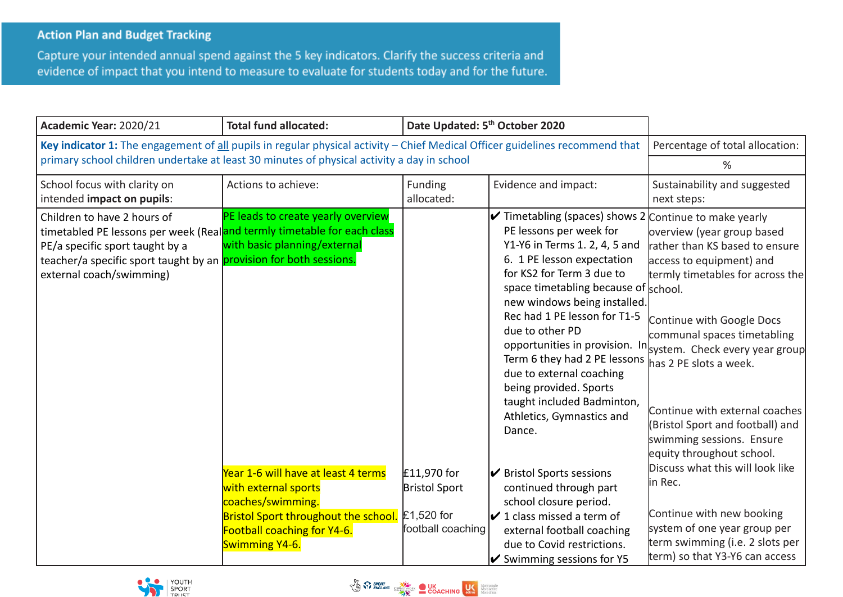## **Action Plan and Budget Tracking**

Capture your intended annual spend against the 5 key indicators. Clarify the success criteria and evidence of impact that you intend to measure to evaluate for students today and for the future.

| Academic Year: 2020/21                                                                                                                                                                                                                      | <b>Total fund allocated:</b>                                                                                                                                                                                                                           | Date Updated: 5 <sup>th</sup> October 2020                               |                                                                                                                                                                                                                                                                                                                                                                                                                                                                                                                                                                                                                                                                                                                                                          |                                                                                                                                                                                                                                                                                                                                                                                                                                                                                                                                                                             |
|---------------------------------------------------------------------------------------------------------------------------------------------------------------------------------------------------------------------------------------------|--------------------------------------------------------------------------------------------------------------------------------------------------------------------------------------------------------------------------------------------------------|--------------------------------------------------------------------------|----------------------------------------------------------------------------------------------------------------------------------------------------------------------------------------------------------------------------------------------------------------------------------------------------------------------------------------------------------------------------------------------------------------------------------------------------------------------------------------------------------------------------------------------------------------------------------------------------------------------------------------------------------------------------------------------------------------------------------------------------------|-----------------------------------------------------------------------------------------------------------------------------------------------------------------------------------------------------------------------------------------------------------------------------------------------------------------------------------------------------------------------------------------------------------------------------------------------------------------------------------------------------------------------------------------------------------------------------|
| Key indicator 1: The engagement of all pupils in regular physical activity - Chief Medical Officer guidelines recommend that                                                                                                                | Percentage of total allocation:                                                                                                                                                                                                                        |                                                                          |                                                                                                                                                                                                                                                                                                                                                                                                                                                                                                                                                                                                                                                                                                                                                          |                                                                                                                                                                                                                                                                                                                                                                                                                                                                                                                                                                             |
| primary school children undertake at least 30 minutes of physical activity a day in school                                                                                                                                                  |                                                                                                                                                                                                                                                        |                                                                          |                                                                                                                                                                                                                                                                                                                                                                                                                                                                                                                                                                                                                                                                                                                                                          | %                                                                                                                                                                                                                                                                                                                                                                                                                                                                                                                                                                           |
| School focus with clarity on<br>intended impact on pupils:                                                                                                                                                                                  | Actions to achieve:                                                                                                                                                                                                                                    | Funding<br>allocated:                                                    | Evidence and impact:                                                                                                                                                                                                                                                                                                                                                                                                                                                                                                                                                                                                                                                                                                                                     | Sustainability and suggested<br>next steps:                                                                                                                                                                                                                                                                                                                                                                                                                                                                                                                                 |
| Children to have 2 hours of<br>timetabled PE lessons per week (Realand termly timetable for each class<br>PE/a specific sport taught by a<br>teacher/a specific sport taught by an provision for both sessions.<br>external coach/swimming) | PE leads to create yearly overview<br>with basic planning/external<br>Year 1-6 will have at least 4 terms<br>with external sports<br>coaches/swimming.<br><b>Bristol Sport throughout the school.</b><br>Football coaching for Y4-6.<br>Swimming Y4-6. | £11,970 for<br><b>Bristol Sport</b><br>$£1,520$ for<br>football coaching | $\checkmark$ Timetabling (spaces) shows 2 Continue to make yearly<br>PE lessons per week for<br>Y1-Y6 in Terms 1. 2, 4, 5 and<br>6. 1 PE lesson expectation<br>for KS2 for Term 3 due to<br>space timetabling because of school.<br>new windows being installed.<br>Rec had 1 PE lesson for T1-5<br>due to other PD<br>Term 6 they had 2 PE lessons $\parallel$ has 2 PE slots a week.<br>due to external coaching<br>being provided. Sports<br>taught included Badminton,<br>Athletics, Gymnastics and<br>Dance.<br>✔ Bristol Sports sessions<br>continued through part<br>school closure period.<br>$\boldsymbol{V}$ 1 class missed a term of<br>external football coaching<br>due to Covid restrictions.<br>$\triangleright$ Swimming sessions for Y5 | overview (year group based<br>rather than KS based to ensure<br>access to equipment) and<br>termly timetables for across the<br>Continue with Google Docs<br>communal spaces timetabling<br>opportunities in provision. In system. Check every year group<br>Continue with external coaches<br>(Bristol Sport and football) and<br>swimming sessions. Ensure<br>equity throughout school.<br>Discuss what this will look like<br>lin Rec.<br>Continue with new booking<br>system of one year group per<br>term swimming (i.e. 2 slots per<br>term) so that Y3-Y6 can access |



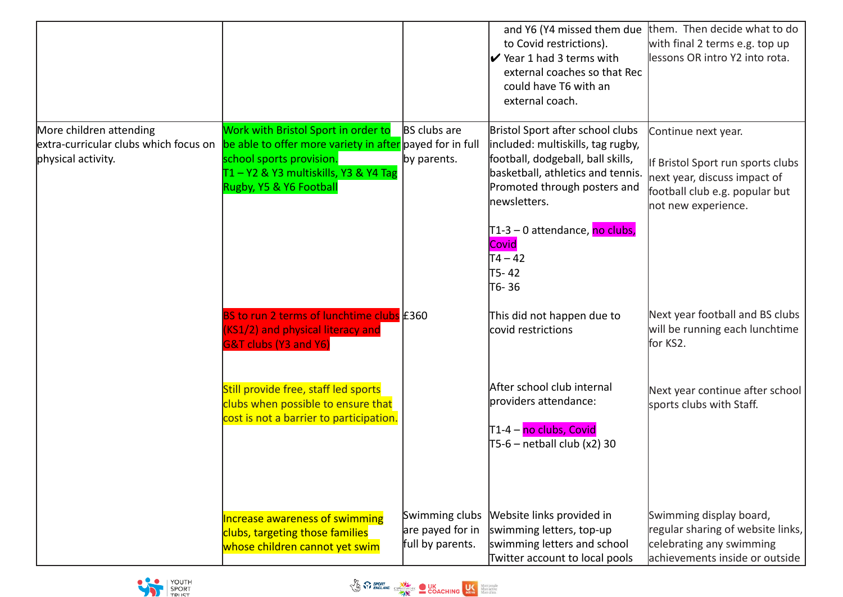|                                                                                        |                                                                                                                                                                                                                |                                                        | and Y6 (Y4 missed them due<br>to Covid restrictions).<br>$\triangleright$ Year 1 had 3 terms with<br>external coaches so that Rec<br>could have T6 with an<br>external coach.                                                                                                             | them. Then decide what to do<br>with final 2 terms e.g. top up<br>lessons OR intro Y2 into rota.                                                  |
|----------------------------------------------------------------------------------------|----------------------------------------------------------------------------------------------------------------------------------------------------------------------------------------------------------------|--------------------------------------------------------|-------------------------------------------------------------------------------------------------------------------------------------------------------------------------------------------------------------------------------------------------------------------------------------------|---------------------------------------------------------------------------------------------------------------------------------------------------|
| More children attending<br>extra-curricular clubs which focus on<br>physical activity. | Work with Bristol Sport in order to BS clubs are<br>be able to offer more variety in after payed for in full<br>school sports provision.<br>$T1 - Y2$ & Y3 multiskills, Y3 & Y4 Tag<br>Rugby, Y5 & Y6 Football | by parents.                                            | Bristol Sport after school clubs<br>included: multiskills, tag rugby,<br>football, dodgeball, ball skills,<br>basketball, athletics and tennis.<br>Promoted through posters and<br>newsletters.<br> T1-3 – 0 attendance, <mark>no clubs,</mark>  <br>Covid<br>T4 – 42<br>T5-42<br>∣т6- 36 | Continue next year.<br>If Bristol Sport run sports clubs<br>next year, discuss impact of<br>football club e.g. popular but<br>not new experience. |
|                                                                                        | BS to run 2 terms of lunchtime clubs £360<br>(KS1/2) and physical literacy and<br><b>G&amp;T clubs (Y3 and Y6)</b>                                                                                             |                                                        | This did not happen due to<br>covid restrictions                                                                                                                                                                                                                                          | Next year football and BS clubs<br>will be running each lunchtime<br>for KS2.                                                                     |
|                                                                                        | Still provide free, staff led sports<br>clubs when possible to ensure that<br>cost is not a barrier to participation.                                                                                          |                                                        | After school club internal<br>providers attendance:<br>T1-4 – <mark>no clubs, Covid</mark><br>T5-6 – netball club (x2) 30                                                                                                                                                                 | Next year continue after school<br>sports clubs with Staff.                                                                                       |
|                                                                                        | Increase awareness of swimming<br>clubs, targeting those families<br>whose children cannot yet swim                                                                                                            | Swimming clubs<br>are payed for in<br>full by parents. | Website links provided in<br>swimming letters, top-up<br>swimming letters and school<br>Twitter account to local pools                                                                                                                                                                    | Swimming display board,<br>regular sharing of website links,<br>celebrating any swimming<br>achievements inside or outside                        |



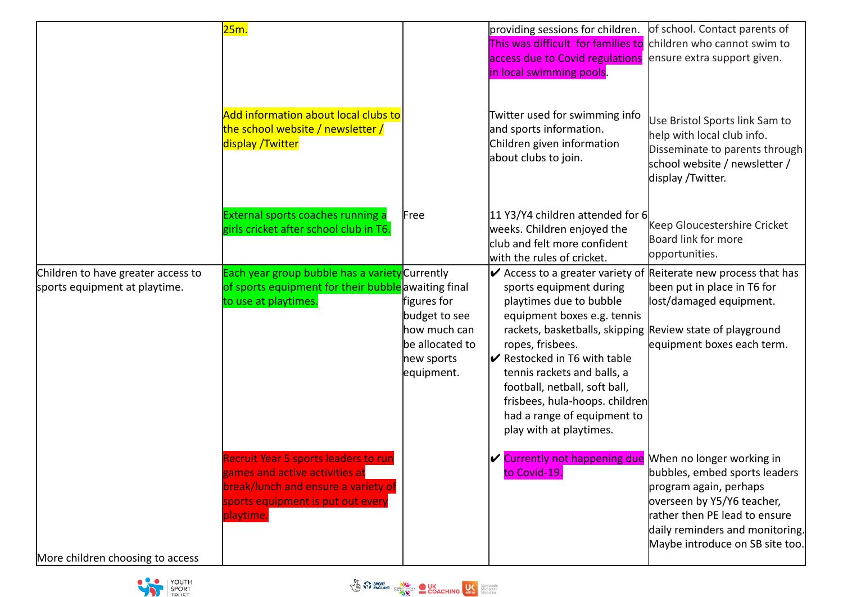|                                                                     | 25m.                                                                                                                                                            |                                                                               | providing sessions for children.<br>This was difficult for families to children who cannot swim to                                                                                                                                                                                                  | of school. Contact parents of                                                                                                                                                                |
|---------------------------------------------------------------------|-----------------------------------------------------------------------------------------------------------------------------------------------------------------|-------------------------------------------------------------------------------|-----------------------------------------------------------------------------------------------------------------------------------------------------------------------------------------------------------------------------------------------------------------------------------------------------|----------------------------------------------------------------------------------------------------------------------------------------------------------------------------------------------|
|                                                                     |                                                                                                                                                                 |                                                                               | access due to Covid regulations<br>in local swimming pools.                                                                                                                                                                                                                                         | ensure extra support given.                                                                                                                                                                  |
|                                                                     | Add information about local clubs to<br>the school website / newsletter /<br>display /Twitter                                                                   |                                                                               | Twitter used for swimming info<br>and sports information.<br>Children given information<br>about clubs to join.                                                                                                                                                                                     | Use Bristol Sports link Sam to<br>help with local club info.<br>Disseminate to parents through<br>school website / newsletter /<br>display / Twitter.                                        |
|                                                                     | External sports coaches running a<br>girls cricket after school club in T6.                                                                                     | Free                                                                          | 11 Y3/Y4 children attended for 6<br>weeks. Children enjoyed the<br>club and felt more confident<br>with the rules of cricket.                                                                                                                                                                       | Keep Gloucestershire Cricket<br>Board link for more<br>opportunities.                                                                                                                        |
| Children to have greater access to<br>sports equipment at playtime. | Each year group bubble has a variety Currently<br>of sports equipment for their bubble awaiting final<br>to use at playtimes.                                   | figures for<br>budget to see<br>how much can<br>be allocated to<br>new sports | $\triangleright$ Access to a greater variety of Reiterate new process that has<br>sports equipment during<br>playtimes due to bubble<br>equipment boxes e.g. tennis<br>rackets, basketballs, skipping Review state of playground<br>ropes, frisbees.<br>$\triangleright$ Restocked in T6 with table | been put in place in T6 for<br>lost/damaged equipment.<br>equipment boxes each term.                                                                                                         |
|                                                                     |                                                                                                                                                                 | equipment.                                                                    | tennis rackets and balls, a<br>football, netball, soft ball,<br>frisbees, hula-hoops. children<br>had a range of equipment to<br>play with at playtimes.                                                                                                                                            |                                                                                                                                                                                              |
| More children choosing to access                                    | Recruit Year 5 sports leaders to run<br>games and active activities at<br>break/lunch and ensure a variety of<br>sports equipment is put out every<br>playtime. |                                                                               | $\triangleright$ Currently not happening due When no longer working in<br>to Covid-19.                                                                                                                                                                                                              | bubbles, embed sports leaders<br>program again, perhaps<br>overseen by Y5/Y6 teacher,<br>rather then PE lead to ensure<br>daily reminders and monitoring.<br>Maybe introduce on SB site too. |



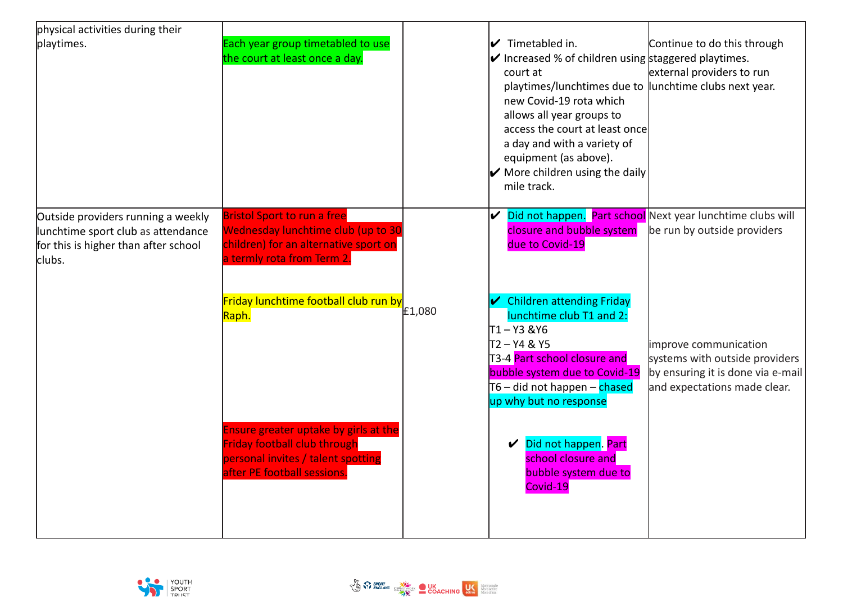| physical activities during their                                                                                           |                                                                                                                                                   |        |                                                                                                                                                                                                                                                                                                                                                                                                       |                                                                                                                              |
|----------------------------------------------------------------------------------------------------------------------------|---------------------------------------------------------------------------------------------------------------------------------------------------|--------|-------------------------------------------------------------------------------------------------------------------------------------------------------------------------------------------------------------------------------------------------------------------------------------------------------------------------------------------------------------------------------------------------------|------------------------------------------------------------------------------------------------------------------------------|
| playtimes.                                                                                                                 | Each year group timetabled to use<br>the court at least once a day.                                                                               |        | $\boldsymbol{\mathcal{V}}$ Timetabled in.<br>$\mathcal V$ Increased % of children using staggered playtimes.<br>court at<br>playtimes/lunchtimes due to lunchtime clubs next year.<br>new Covid-19 rota which<br>allows all year groups to<br>access the court at least once<br>a day and with a variety of<br>equipment (as above).<br>$\triangleright$ More children using the daily<br>mile track. | Continue to do this through<br>external providers to run                                                                     |
| Outside providers running a weekly<br>lunchtime sport club as attendance<br>for this is higher than after school<br>clubs. | <b>Bristol Sport to run a free</b><br>Wednesday lunchtime club (up to 30<br>children) for an alternative sport on<br>a termly rota from Term 2.   |        | closure and bubble system<br>due to Covid-19                                                                                                                                                                                                                                                                                                                                                          | Did not happen. Part school Next year lunchtime clubs will<br>be run by outside providers                                    |
|                                                                                                                            | Friday lunchtime football club run by<br>Raph.                                                                                                    | £1,080 | <b>Children attending Friday</b><br>lunchtime club T1 and 2:<br>T1 – Y3 &Y6<br>T2-Y4 & Y5<br>T3-4 Part school closure and<br>bubble system due to Covid-19<br>T6 – did not happen – chased<br>up why but no response                                                                                                                                                                                  | improve communication<br>systems with outside providers<br>by ensuring it is done via e-mail<br>and expectations made clear. |
|                                                                                                                            | Ensure greater uptake by girls at the<br><b>Friday football club through</b><br>personal invites / talent spotting<br>after PE football sessions. |        | Did not happen. Part<br>school closure and<br>bubble system due to<br>Covid-19                                                                                                                                                                                                                                                                                                                        |                                                                                                                              |

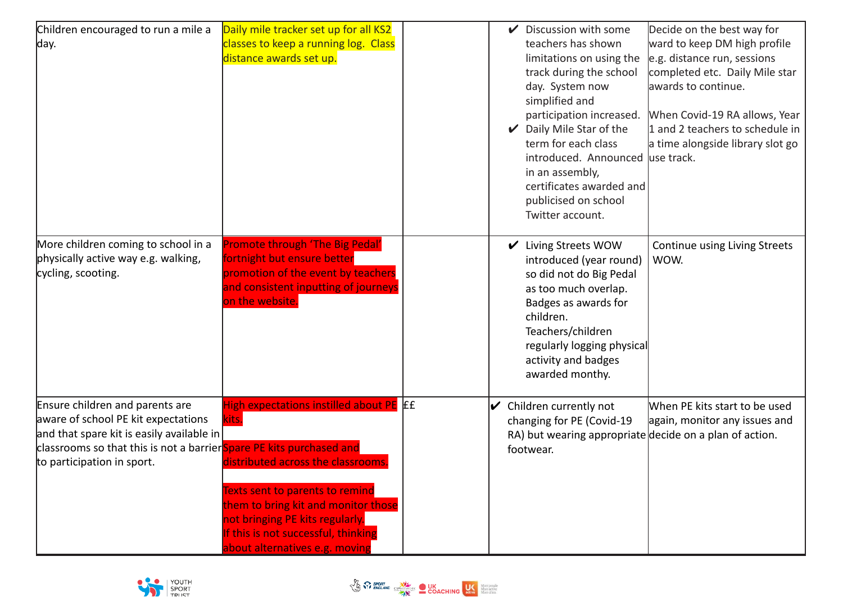| Children encouraged to run a mile a                                                                                                                                                                                       | Daily mile tracker set up for all KS2                                                                                                                                                                                                                                               | $\checkmark$ | Discussion with some                                                                                                                                                                                                                                                                                                        | Decide on the best way for                                                                                                                                                                                                   |
|---------------------------------------------------------------------------------------------------------------------------------------------------------------------------------------------------------------------------|-------------------------------------------------------------------------------------------------------------------------------------------------------------------------------------------------------------------------------------------------------------------------------------|--------------|-----------------------------------------------------------------------------------------------------------------------------------------------------------------------------------------------------------------------------------------------------------------------------------------------------------------------------|------------------------------------------------------------------------------------------------------------------------------------------------------------------------------------------------------------------------------|
| day.                                                                                                                                                                                                                      | classes to keep a running log. Class<br>distance awards set up.                                                                                                                                                                                                                     |              | teachers has shown<br>limitations on using the<br>track during the school<br>day. System now<br>simplified and<br>participation increased.<br>Daily Mile Star of the<br>term for each class<br>introduced. Announced luse track.<br>in an assembly,<br>certificates awarded and<br>publicised on school<br>Twitter account. | ward to keep DM high profile<br>e.g. distance run, sessions<br>completed etc. Daily Mile star<br>awards to continue.<br>When Covid-19 RA allows, Year<br>1 and 2 teachers to schedule in<br>a time alongside library slot go |
| More children coming to school in a<br>physically active way e.g. walking,<br>cycling, scooting.                                                                                                                          | <b>Promote through 'The Big Pedal'</b><br>fortnight but ensure better<br>promotion of the event by teachers<br>and consistent inputting of journeys<br>on the website.                                                                                                              |              | ✔ Living Streets WOW<br>introduced (year round)<br>so did not do Big Pedal<br>as too much overlap.<br>Badges as awards for<br>children.<br>Teachers/children<br>regularly logging physical<br>activity and badges<br>awarded monthy.                                                                                        | Continue using Living Streets<br>WOW.                                                                                                                                                                                        |
| Ensure children and parents are<br>aware of school PE kit expectations<br>and that spare kit is easily available in<br>classrooms so that this is not a barrier Spare PE kits purchased and<br>to participation in sport. | High expectations instilled about PE EE<br>kits.<br>distributed across the classrooms.<br><b>Texts sent to parents to remind</b><br>them to bring kit and monitor those<br>not bringing PE kits regularly.<br>If this is not successful, thinking<br>about alternatives e.g. moving | V            | Children currently not<br>changing for PE (Covid-19<br>footwear.                                                                                                                                                                                                                                                            | When PE kits start to be used<br>again, monitor any issues and<br>RA) but wearing appropriate decide on a plan of action.                                                                                                    |



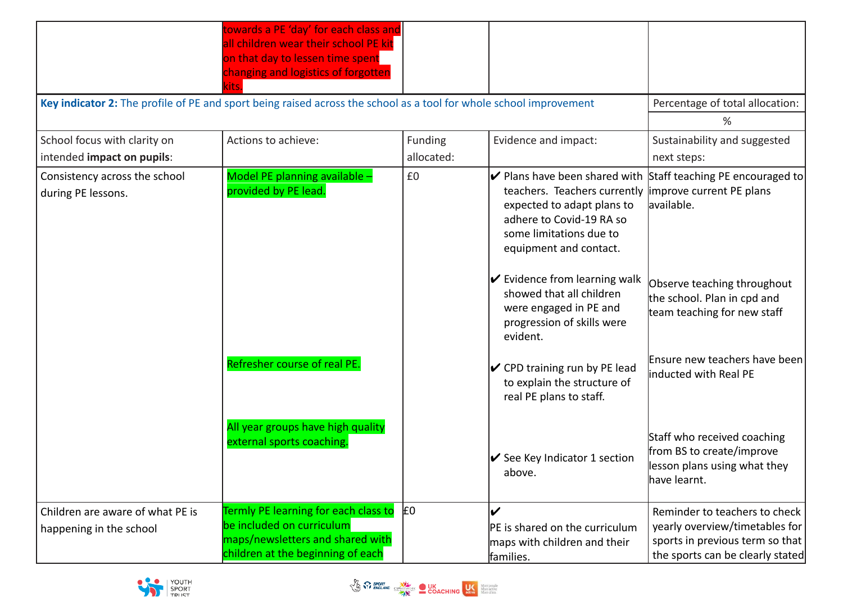|                                                             | towards a PE 'day' for each class and<br>all children wear their school PE kit<br>on that day to lessen time spent<br>changing and logistics of forgotten |            |                                                                                                                                              |                                                                                                                                        |
|-------------------------------------------------------------|-----------------------------------------------------------------------------------------------------------------------------------------------------------|------------|----------------------------------------------------------------------------------------------------------------------------------------------|----------------------------------------------------------------------------------------------------------------------------------------|
|                                                             | Key indicator 2: The profile of PE and sport being raised across the school as a tool for whole school improvement                                        |            |                                                                                                                                              | Percentage of total allocation:                                                                                                        |
|                                                             |                                                                                                                                                           |            |                                                                                                                                              | %                                                                                                                                      |
| School focus with clarity on                                | Actions to achieve:                                                                                                                                       | Funding    | Evidence and impact:                                                                                                                         | Sustainability and suggested                                                                                                           |
| intended impact on pupils:                                  |                                                                                                                                                           | allocated: |                                                                                                                                              | next steps:                                                                                                                            |
| Consistency across the school<br>during PE lessons.         | Model PE planning available -<br>provided by PE lead.                                                                                                     | £0         | teachers. Teachers currently<br>expected to adapt plans to<br>adhere to Covid-19 RA so<br>some limitations due to<br>equipment and contact.  | $\triangleright$ Plans have been shared with Staff teaching PE encouraged to<br>improve current PE plans<br>available.                 |
|                                                             |                                                                                                                                                           |            | $\triangleright$ Evidence from learning walk<br>showed that all children<br>were engaged in PE and<br>progression of skills were<br>evident. | Observe teaching throughout<br>the school. Plan in cpd and<br>team teaching for new staff                                              |
|                                                             | Refresher course of real PE.                                                                                                                              |            | $\triangleright$ CPD training run by PE lead<br>to explain the structure of<br>real PE plans to staff.                                       | Ensure new teachers have been<br>inducted with Real PE                                                                                 |
|                                                             | All year groups have high quality<br>external sports coaching.                                                                                            |            | $\triangleright$ See Key Indicator 1 section<br>above.                                                                                       | Staff who received coaching<br>from BS to create/improve<br>lesson plans using what they<br>have learnt.                               |
| Children are aware of what PE is<br>happening in the school | Termly PE learning for each class to<br>be included on curriculum<br>maps/newsletters and shared with<br>children at the beginning of each                | lΕ0        | V<br>PE is shared on the curriculum<br>maps with children and their<br>families.                                                             | Reminder to teachers to check<br>yearly overview/timetables for<br>sports in previous term so that<br>the sports can be clearly stated |



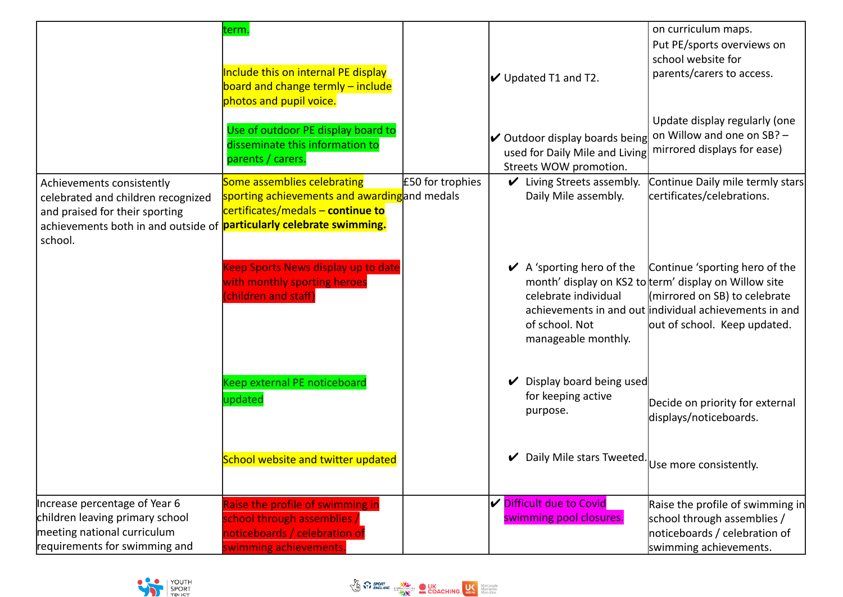|                                                                                                                                                                                             | term.<br>Include this on internal PE display<br>board and change termly - include<br>photos and pupil voice.               |                  | $\triangleright$ Updated T1 and T2.                                                                                 | on curriculum maps.<br>Put PE/sports overviews on<br>school website for<br>parents/carers to access.                                                                                                               |
|---------------------------------------------------------------------------------------------------------------------------------------------------------------------------------------------|----------------------------------------------------------------------------------------------------------------------------|------------------|---------------------------------------------------------------------------------------------------------------------|--------------------------------------------------------------------------------------------------------------------------------------------------------------------------------------------------------------------|
|                                                                                                                                                                                             | Use of outdoor PE display board to<br>disseminate this information to<br>parents / carers.                                 |                  | $\boldsymbol{\mathcal{V}}$ Outdoor display boards being<br>used for Daily Mile and Living<br>Streets WOW promotion. | Update display regularly (one<br>on Willow and one on SB? -<br>mirrored displays for ease)                                                                                                                         |
| Achievements consistently<br>celebrated and children recognized<br>and praised for their sporting<br>achievements both in and outside of <b>particularly celebrate swimming.</b><br>school. | Some assemblies celebrating<br>sporting achievements and awarding and medals<br>certificates/medals - continue to          | £50 for trophies | $\mathcal V$ Living Streets assembly.<br>Daily Mile assembly.                                                       | Continue Daily mile termly stars<br>certificates/celebrations.                                                                                                                                                     |
|                                                                                                                                                                                             | Keep Sports News display up to date<br>with monthly sporting heroes<br>(children and staff)                                |                  | $\vee$ A 'sporting hero of the<br>celebrate individual<br>of school. Not<br>manageable monthly.                     | Continue 'sporting hero of the<br>month' display on KS2 to term' display on Willow site<br>(mirrored on SB) to celebrate<br>achievements in and out individual achievements in and<br>out of school. Keep updated. |
|                                                                                                                                                                                             | Keep external PE noticeboard<br>updated                                                                                    |                  | Display board being used<br>V<br>for keeping active<br>purpose.                                                     | Decide on priority for external<br>displays/noticeboards.                                                                                                                                                          |
|                                                                                                                                                                                             | School website and twitter updated                                                                                         |                  | Daily Mile stars Tweeted. Use more consistently.                                                                    |                                                                                                                                                                                                                    |
| Increase percentage of Year 6<br>children leaving primary school<br>meeting national curriculum<br>requirements for swimming and                                                            | Raise the profile of swimming in<br>school through assemblies /<br>noticeboards / celebration of<br>swimming achievements. |                  | $\boldsymbol{V}$ Difficult due to Covid<br>swimming pool closures.                                                  | Raise the profile of swimming in<br>school through assemblies /<br>noticeboards / celebration of<br>swimming achievements.                                                                                         |

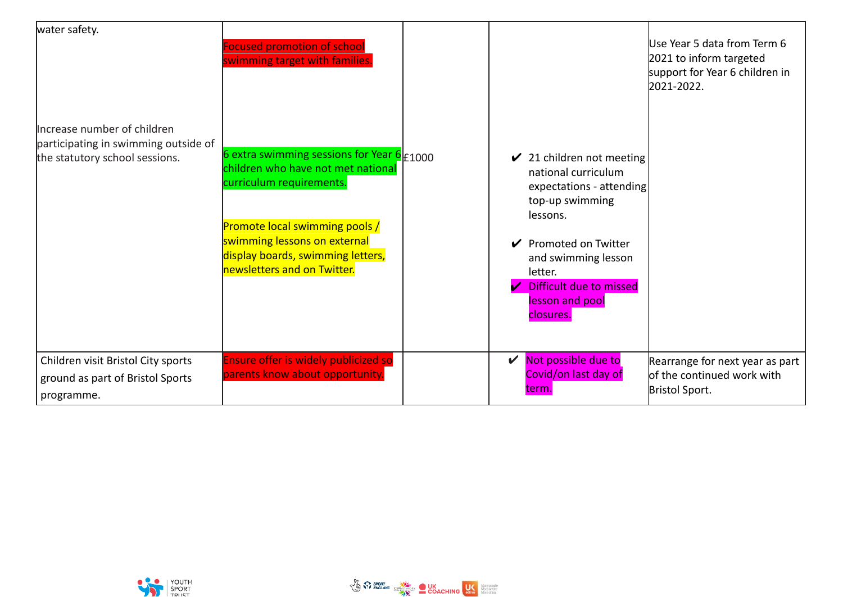| water safety.                        | <b>Focused promotion of school</b><br>swimming target with families.                                                                                                    |                                                                                                                        | Use Year 5 data from Term 6<br>2021 to inform targeted<br>support for Year 6 children in<br>2021-2022. |
|--------------------------------------|-------------------------------------------------------------------------------------------------------------------------------------------------------------------------|------------------------------------------------------------------------------------------------------------------------|--------------------------------------------------------------------------------------------------------|
| Increase number of children          |                                                                                                                                                                         |                                                                                                                        |                                                                                                        |
| participating in swimming outside of |                                                                                                                                                                         |                                                                                                                        |                                                                                                        |
| the statutory school sessions.       | 6 extra swimming sessions for Year $\overline{6}_{\pm 1000}$<br>children who have not met national<br>curriculum requirements.<br><b>Promote local swimming pools /</b> | $\checkmark$ 21 children not meeting<br>national curriculum<br>expectations - attending<br>top-up swimming<br>lessons. |                                                                                                        |
|                                      | swimming lessons on external<br>display boards, swimming letters,                                                                                                       | Promoted on Twitter                                                                                                    |                                                                                                        |
|                                      | newsletters and on Twitter.                                                                                                                                             | and swimming lesson<br>letter.                                                                                         |                                                                                                        |
|                                      |                                                                                                                                                                         | Difficult due to missed                                                                                                |                                                                                                        |
|                                      |                                                                                                                                                                         | lesson and pool<br>closures.                                                                                           |                                                                                                        |
|                                      |                                                                                                                                                                         |                                                                                                                        |                                                                                                        |
| Children visit Bristol City sports   | Ensure offer is widely publicized so                                                                                                                                    | Not possible due to<br>V                                                                                               | Rearrange for next year as part                                                                        |
| ground as part of Bristol Sports     | parents know about opportunity.                                                                                                                                         | Covid/on last day of                                                                                                   | <b>l</b> of the continued work with                                                                    |
| programme.                           |                                                                                                                                                                         | term.                                                                                                                  | Bristol Sport.                                                                                         |

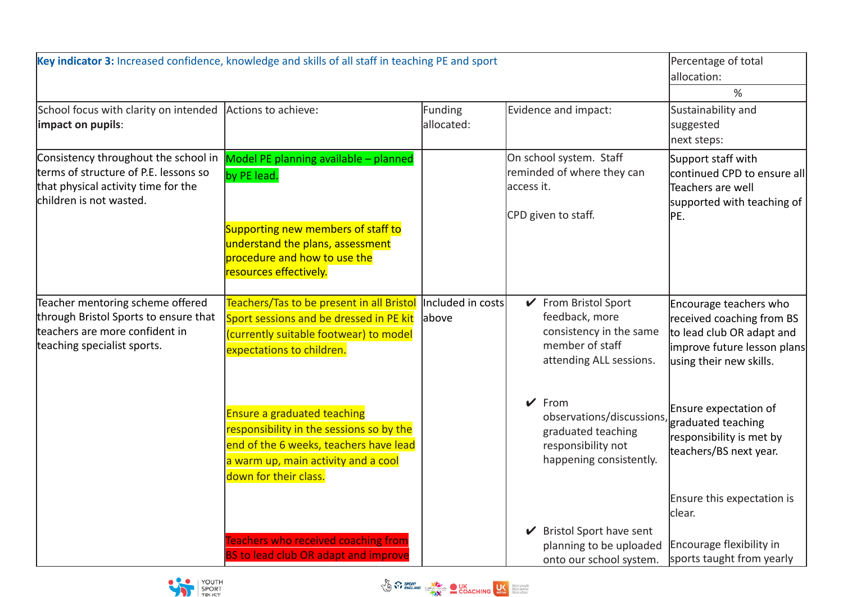| Key indicator 3: Increased confidence, knowledge and skills of all staff in teaching PE and sport                                               | Percentage of total<br>allocation:                                                                                                                                                       |                             |                                                                                                                 |                                                                                                                                            |
|-------------------------------------------------------------------------------------------------------------------------------------------------|------------------------------------------------------------------------------------------------------------------------------------------------------------------------------------------|-----------------------------|-----------------------------------------------------------------------------------------------------------------|--------------------------------------------------------------------------------------------------------------------------------------------|
| School focus with clarity on intended<br>impact on pupils:                                                                                      | Actions to achieve:                                                                                                                                                                      | Funding<br>allocated:       | Evidence and impact:                                                                                            | %<br>Sustainability and<br>suggested<br>next steps:                                                                                        |
| Consistency throughout the school in<br>terms of structure of P.E. lessons so<br>that physical activity time for the<br>children is not wasted. | Model PE planning available - planned<br>by PE lead.<br>Supporting new members of staff to<br>understand the plans, assessment<br>procedure and how to use the<br>resources effectively. |                             | On school system. Staff<br>reminded of where they can<br>access it.<br>CPD given to staff.                      | Support staff with<br>continued CPD to ensure all<br>Teachers are well<br>supported with teaching of<br>PE.                                |
| Teacher mentoring scheme offered<br>through Bristol Sports to ensure that<br>teachers are more confident in<br>teaching specialist sports.      | Teachers/Tas to be present in all Bristol<br>Sport sessions and be dressed in PE kit<br>(currently suitable footwear) to model<br>expectations to children.                              | Included in costs<br>labove | ✔ From Bristol Sport<br>feedback, more<br>consistency in the same<br>member of staff<br>attending ALL sessions. | Encourage teachers who<br>received coaching from BS<br>to lead club OR adapt and<br>improve future lesson plans<br>using their new skills. |
|                                                                                                                                                 | <b>Ensure a graduated teaching</b><br>responsibility in the sessions so by the<br>end of the 6 weeks, teachers have lead<br>a warm up, main activity and a cool<br>down for their class. |                             | $\vee$ From<br>observations/discussions,<br>graduated teaching<br>responsibility not<br>happening consistently. | Ensure expectation of<br>graduated teaching<br>responsibility is met by<br>teachers/BS next year.                                          |
|                                                                                                                                                 | <b>Teachers who received coaching from</b><br><b>BS to lead club OR adapt and improve</b>                                                                                                |                             | ✔ Bristol Sport have sent<br>planning to be uploaded<br>onto our school system.                                 | Ensure this expectation is<br>lclear.<br>Encourage flexibility in<br>sports taught from yearly                                             |



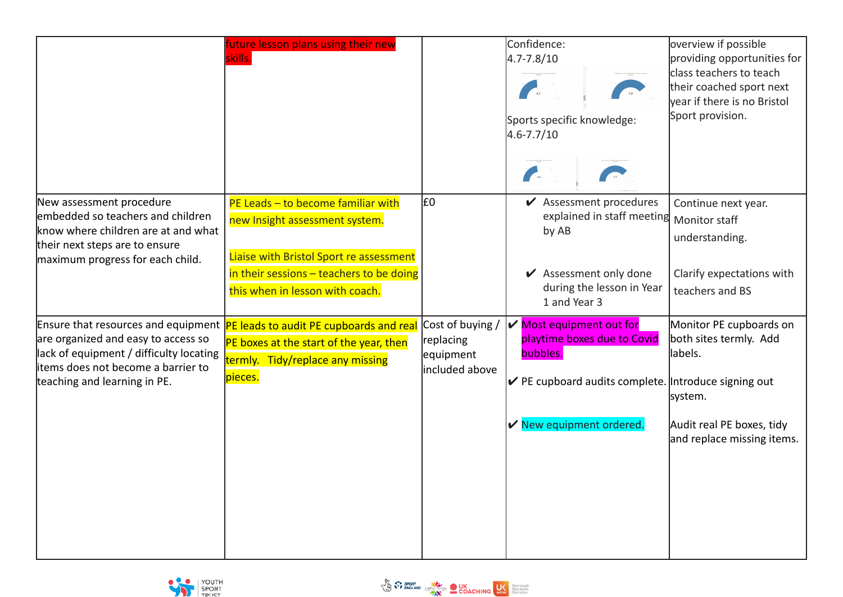|                                                                                                                                                                            | future lesson plans using their new<br>skills.                                                                                                                                                     |                                                              | Confidence:<br>$4.7 - 7.8 / 10$<br>Sports specific knowledge:<br>$4.6 - 7.7 / 10$                                                                                                           | overview if possible<br>providing opportunities for<br>class teachers to teach<br>their coached sport next<br>year if there is no Bristol<br>Sport provision. |
|----------------------------------------------------------------------------------------------------------------------------------------------------------------------------|----------------------------------------------------------------------------------------------------------------------------------------------------------------------------------------------------|--------------------------------------------------------------|---------------------------------------------------------------------------------------------------------------------------------------------------------------------------------------------|---------------------------------------------------------------------------------------------------------------------------------------------------------------|
| New assessment procedure<br>embedded so teachers and children<br>know where children are at and what<br>their next steps are to ensure<br>maximum progress for each child. | PE Leads $-$ to become familiar with<br>new Insight assessment system.<br>Liaise with Bristol Sport re assessment<br>in their sessions $-$ teachers to be doing<br>this when in lesson with coach. | E0                                                           | $\blacktriangleright$ Assessment procedures<br>explained in staff meeting Monitor staff<br>by AB<br>$\blacktriangleright$ Assessment only done<br>during the lesson in Year<br>1 and Year 3 | Continue next year.<br>understanding.<br>Clarify expectations with<br>teachers and BS                                                                         |
| are organized and easy to access so<br>lack of equipment / difficulty locating<br>litems does not become a barrier to<br>teaching and learning in PE.                      | Ensure that resources and equipment   PE leads to audit PE cupboards and real<br>PE boxes at the start of the year, then<br>termly. Tidy/replace any missing<br>pieces.                            | Cost of buying /<br>replacing<br>equipment<br>included above | V<br>Most equipment out for<br>playtime boxes due to Covid<br>bubbles.<br>$\triangleright$ PE cupboard audits complete. Introduce signing out<br>New equipment ordered.                     | Monitor PE cupboards on<br>both sites termly. Add<br>labels.<br>system.<br>Audit real PE boxes, tidy<br>and replace missing items.                            |

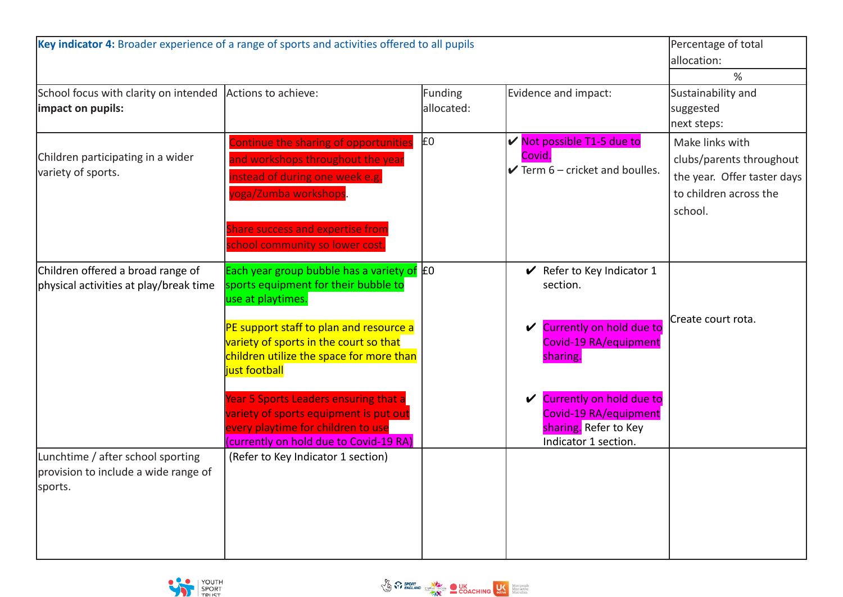| Key indicator 4: Broader experience of a range of sports and activities offered to all pupils | Percentage of total<br>allocation:<br>%                                                                                                                                                                                                                                                                                                                                                                                         |                       |                                                                                                                                                                                                                         |                                                                                                                 |
|-----------------------------------------------------------------------------------------------|---------------------------------------------------------------------------------------------------------------------------------------------------------------------------------------------------------------------------------------------------------------------------------------------------------------------------------------------------------------------------------------------------------------------------------|-----------------------|-------------------------------------------------------------------------------------------------------------------------------------------------------------------------------------------------------------------------|-----------------------------------------------------------------------------------------------------------------|
| School focus with clarity on intended Actions to achieve:<br>impact on pupils:                |                                                                                                                                                                                                                                                                                                                                                                                                                                 | Funding<br>allocated: | Evidence and impact:                                                                                                                                                                                                    | Sustainability and<br>suggested<br>next steps:                                                                  |
| Children participating in a wider<br>variety of sports.                                       | Continue the sharing of opportunities<br>and workshops throughout the year<br>nstead of during one week e.g.<br>oga/Zumba workshops<br>Share success and expertise from<br>school community so lower cost.                                                                                                                                                                                                                      | £0                    | <b>√</b> Not possible T1-5 due to<br>Covid.<br>$\triangleright$ Term 6 – cricket and boulles.                                                                                                                           | Make links with<br>clubs/parents throughout<br>the year. Offer taster days<br>to children across the<br>school. |
| Children offered a broad range of<br>physical activities at play/break time                   | Each year group bubble has a variety of $E_0$<br>sports equipment for their bubble to<br>use at playtimes.<br>PE support staff to plan and resource a<br>variety of sports in the court so that<br>children utilize the space for more than<br>just football<br>Year 5 Sports Leaders ensuring that a<br>variety of sports equipment is put out<br>every playtime for children to use<br>(currently on hold due to Covid-19 RA) |                       | $\vee$ Refer to Key Indicator 1<br>section.<br>Currently on hold due to<br>V<br>Covid-19 RA/equipment<br>sharing.<br>Currently on hold due to<br>Covid-19 RA/equipment<br>sharing. Refer to Key<br>Indicator 1 section. | Create court rota.                                                                                              |
| Lunchtime / after school sporting<br>provision to include a wide range of<br>sports.          | (Refer to Key Indicator 1 section)                                                                                                                                                                                                                                                                                                                                                                                              |                       |                                                                                                                                                                                                                         |                                                                                                                 |

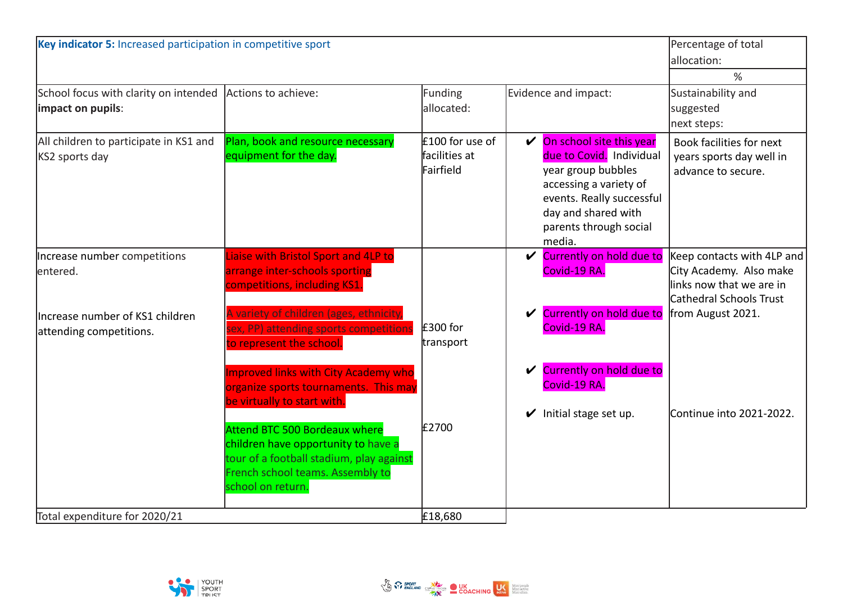| Key indicator 5: Increased participation in competitive sport                                           |                                                                                                                                                                                                                                                                                                                 |                                               |  |                                                                                                                                                                                                                   | Percentage of total<br>allocation:<br>%                                                                                           |
|---------------------------------------------------------------------------------------------------------|-----------------------------------------------------------------------------------------------------------------------------------------------------------------------------------------------------------------------------------------------------------------------------------------------------------------|-----------------------------------------------|--|-------------------------------------------------------------------------------------------------------------------------------------------------------------------------------------------------------------------|-----------------------------------------------------------------------------------------------------------------------------------|
| School focus with clarity on intended<br>impact on pupils:                                              | Actions to achieve:                                                                                                                                                                                                                                                                                             | Funding<br>allocated:                         |  | Evidence and impact:                                                                                                                                                                                              | Sustainability and<br>suggested<br>next steps:                                                                                    |
| All children to participate in KS1 and<br>KS2 sports day                                                | Plan, book and resource necessary<br>equipment for the day.                                                                                                                                                                                                                                                     | £100 for use of<br>facilities at<br>Fairfield |  | $\sqrt{\phantom{a}}$ On school site this year<br>due to Covid. Individual<br>year group bubbles<br>accessing a variety of<br>events. Really successful<br>day and shared with<br>parents through social<br>media. | Book facilities for next<br>years sports day well in<br>advance to secure.                                                        |
| Increase number competitions<br>lentered.<br>Increase number of KS1 children<br>attending competitions. | Liaise with Bristol Sport and 4LP to<br>arrange inter-schools sporting<br>competitions, including KS1.<br>A variety of children (ages, ethnicity,<br>sex, PP) attending sports competition.<br>to represent the school.<br><b>Improved links with City Academy who</b><br>organize sports tournaments. This may | $£300$ for<br>transport                       |  | <b>✓</b> Currently on hold due to<br>Covid-19 RA.<br>Currently on hold due to<br>Covid-19 RA.<br>Currently on hold due to<br>Covid-19 RA.                                                                         | Keep contacts with 4LP and<br>City Academy. Also make<br>links now that we are in<br>Cathedral Schools Trust<br>from August 2021. |
|                                                                                                         | be virtually to start with.<br>Attend BTC 500 Bordeaux where<br>children have opportunity to have a<br>tour of a football stadium, play against<br>French school teams. Assembly to<br>school on return.                                                                                                        | £2700                                         |  | Initial stage set up.                                                                                                                                                                                             | Continue into 2021-2022.                                                                                                          |
| Total expenditure for 2020/21                                                                           |                                                                                                                                                                                                                                                                                                                 | £18,680                                       |  |                                                                                                                                                                                                                   |                                                                                                                                   |

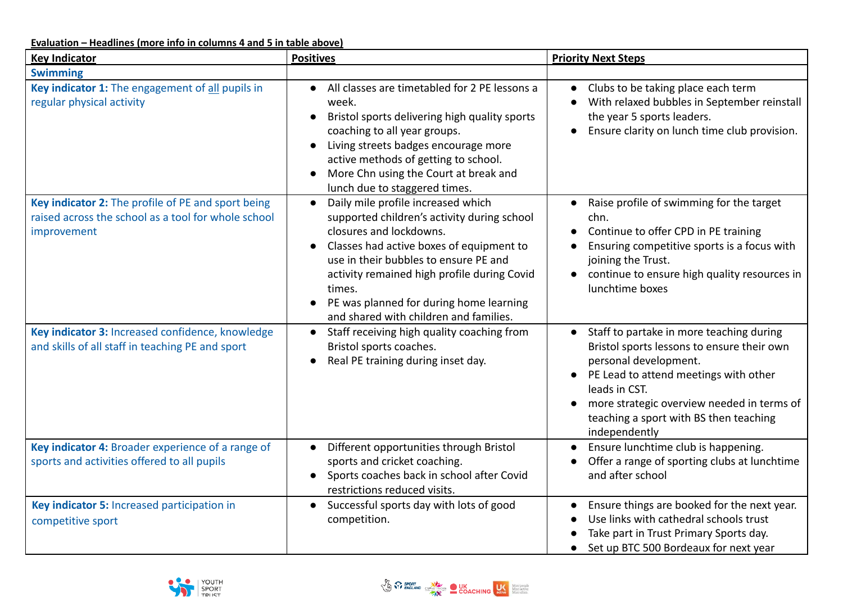**Evaluation – Headlines (more info in columns 4 and 5 in table above)**

| <b>Key Indicator</b>                                                                                                     | <b>Positives</b>                                                                                                                                                                                                                                                                                                                                             | <b>Priority Next Steps</b>                                                                                                                                                                                                                                                         |
|--------------------------------------------------------------------------------------------------------------------------|--------------------------------------------------------------------------------------------------------------------------------------------------------------------------------------------------------------------------------------------------------------------------------------------------------------------------------------------------------------|------------------------------------------------------------------------------------------------------------------------------------------------------------------------------------------------------------------------------------------------------------------------------------|
| <b>Swimming</b>                                                                                                          |                                                                                                                                                                                                                                                                                                                                                              |                                                                                                                                                                                                                                                                                    |
| Key indicator 1: The engagement of all pupils in<br>regular physical activity                                            | All classes are timetabled for 2 PE lessons a<br>$\bullet$<br>week.<br>Bristol sports delivering high quality sports<br>$\bullet$<br>coaching to all year groups.<br>Living streets badges encourage more<br>$\bullet$<br>active methods of getting to school.<br>More Chn using the Court at break and<br>lunch due to staggered times.                     | Clubs to be taking place each term<br>$\bullet$<br>With relaxed bubbles in September reinstall<br>the year 5 sports leaders.<br>Ensure clarity on lunch time club provision.                                                                                                       |
| Key indicator 2: The profile of PE and sport being<br>raised across the school as a tool for whole school<br>improvement | Daily mile profile increased which<br>$\bullet$<br>supported children's activity during school<br>closures and lockdowns.<br>Classes had active boxes of equipment to<br>use in their bubbles to ensure PE and<br>activity remained high profile during Covid<br>times.<br>PE was planned for during home learning<br>and shared with children and families. | Raise profile of swimming for the target<br>chn.<br>Continue to offer CPD in PE training<br>Ensuring competitive sports is a focus with<br>joining the Trust.<br>continue to ensure high quality resources in<br>$\bullet$<br>lunchtime boxes                                      |
| Key indicator 3: Increased confidence, knowledge<br>and skills of all staff in teaching PE and sport                     | Staff receiving high quality coaching from<br>Bristol sports coaches.<br>Real PE training during inset day.<br>$\bullet$                                                                                                                                                                                                                                     | Staff to partake in more teaching during<br>Bristol sports lessons to ensure their own<br>personal development.<br>PE Lead to attend meetings with other<br>leads in CST.<br>more strategic overview needed in terms of<br>teaching a sport with BS then teaching<br>independently |
| Key indicator 4: Broader experience of a range of<br>sports and activities offered to all pupils                         | Different opportunities through Bristol<br>sports and cricket coaching.<br>Sports coaches back in school after Covid<br>restrictions reduced visits.                                                                                                                                                                                                         | Ensure lunchtime club is happening.<br>Offer a range of sporting clubs at lunchtime<br>and after school                                                                                                                                                                            |
| Key indicator 5: Increased participation in<br>competitive sport                                                         | Successful sports day with lots of good<br>$\bullet$<br>competition.                                                                                                                                                                                                                                                                                         | Ensure things are booked for the next year.<br>Use links with cathedral schools trust<br>Take part in Trust Primary Sports day.<br>Set up BTC 500 Bordeaux for next year                                                                                                           |